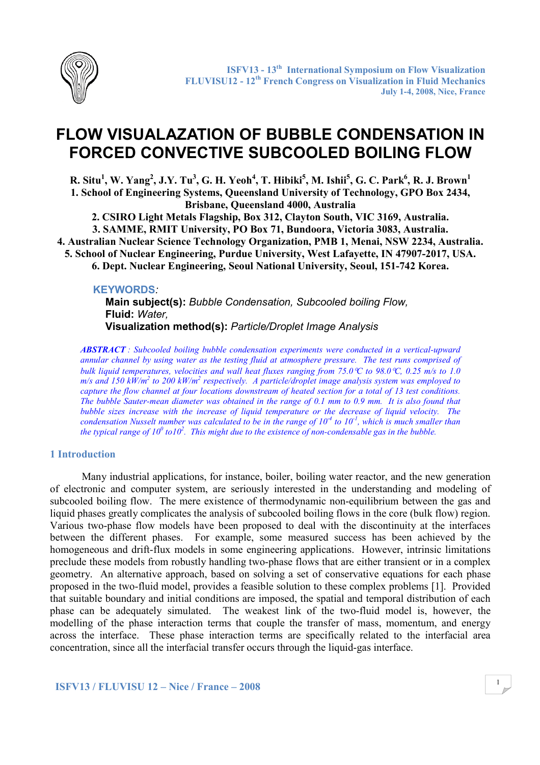

# FLOW VISUALAZATION OF BUBBLE CONDENSATION IN FORCED CONVECTIVE SUBCOOLED BOILING FLOW

R. Situ<sup>1</sup>, W. Yang<sup>2</sup>, J.Y. Tu<sup>3</sup>, G. H. Yeoh<sup>4</sup>, T. Hibiki<sup>5</sup>, M. Ishii<sup>5</sup>, G. C. Park<sup>6</sup>, R. J. Brown<sup>1</sup> 1. School of Engineering Systems, Queensland University of Technology, GPO Box 2434, Brisbane, Queensland 4000, Australia

2. CSIRO Light Metals Flagship, Box 312, Clayton South, VIC 3169, Australia.

3. SAMME, RMIT University, PO Box 71, Bundoora, Victoria 3083, Australia.

4. Australian Nuclear Science Technology Organization, PMB 1, Menai, NSW 2234, Australia.

5. School of Nuclear Engineering, Purdue University, West Lafayette, IN 47907-2017, USA. 6. Dept. Nuclear Engineering, Seoul National University, Seoul, 151-742 Korea.

#### KEYWORDS:

Main subject(s): Bubble Condensation, Subcooled boiling Flow, Fluid: Water, Visualization method(s): Particle/Droplet Image Analysis

ABSTRACT : Subcooled boiling bubble condensation experiments were conducted in a vertical-upward annular channel by using water as the testing fluid at atmosphere pressure. The test runs comprised of bulk liquid temperatures, velocities and wall heat fluxes ranging from 75.0 °C to 98.0 °C, 0.25 m/s to 1.0 m/s and 150 kW/m<sup>2</sup> to 200 kW/m<sup>2</sup> respectively. A particle/droplet image analysis system was employed to capture the flow channel at four locations downstream of heated section for a total of 13 test conditions. The bubble Sauter-mean diameter was obtained in the range of 0.1 mm to 0.9 mm. It is also found that bubble sizes increase with the increase of liquid temperature or the decrease of liquid velocity. The condensation Nusselt number was calculated to be in the range of  $10^{-4}$  to  $10^{-1}$ , which is much smaller than the typical range of  $10^0$  to10<sup>2</sup>. This might due to the existence of non-condensable gas in the bubble.

## 1 Introduction

Many industrial applications, for instance, boiler, boiling water reactor, and the new generation of electronic and computer system, are seriously interested in the understanding and modeling of subcooled boiling flow. The mere existence of thermodynamic non-equilibrium between the gas and liquid phases greatly complicates the analysis of subcooled boiling flows in the core (bulk flow) region. Various two-phase flow models have been proposed to deal with the discontinuity at the interfaces between the different phases. For example, some measured success has been achieved by the homogeneous and drift-flux models in some engineering applications. However, intrinsic limitations preclude these models from robustly handling two-phase flows that are either transient or in a complex geometry. An alternative approach, based on solving a set of conservative equations for each phase proposed in the two-fluid model, provides a feasible solution to these complex problems [1]. Provided that suitable boundary and initial conditions are imposed, the spatial and temporal distribution of each phase can be adequately simulated. The weakest link of the two-fluid model is, however, the modelling of the phase interaction terms that couple the transfer of mass, momentum, and energy across the interface. These phase interaction terms are specifically related to the interfacial area concentration, since all the interfacial transfer occurs through the liquid-gas interface.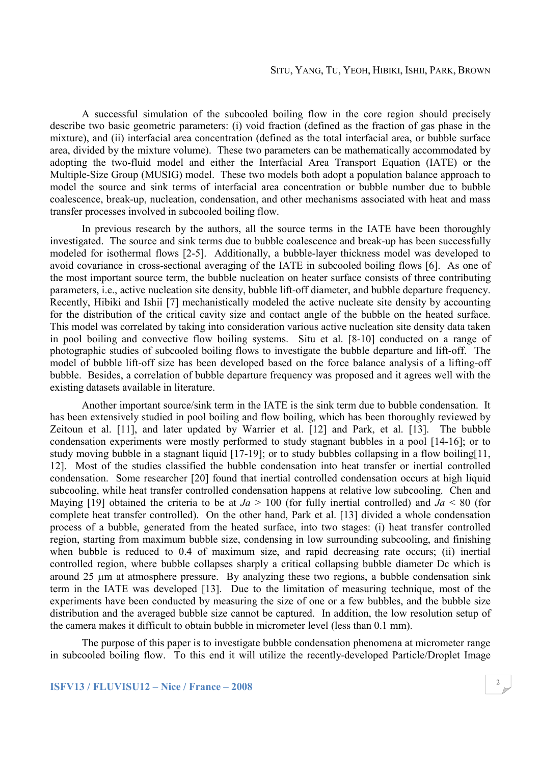A successful simulation of the subcooled boiling flow in the core region should precisely describe two basic geometric parameters: (i) void fraction (defined as the fraction of gas phase in the mixture), and (ii) interfacial area concentration (defined as the total interfacial area, or bubble surface area, divided by the mixture volume). These two parameters can be mathematically accommodated by adopting the two-fluid model and either the Interfacial Area Transport Equation (IATE) or the Multiple-Size Group (MUSIG) model. These two models both adopt a population balance approach to model the source and sink terms of interfacial area concentration or bubble number due to bubble coalescence, break-up, nucleation, condensation, and other mechanisms associated with heat and mass transfer processes involved in subcooled boiling flow.

In previous research by the authors, all the source terms in the IATE have been thoroughly investigated. The source and sink terms due to bubble coalescence and break-up has been successfully modeled for isothermal flows [2-5]. Additionally, a bubble-layer thickness model was developed to avoid covariance in cross-sectional averaging of the IATE in subcooled boiling flows [6]. As one of the most important source term, the bubble nucleation on heater surface consists of three contributing parameters, i.e., active nucleation site density, bubble lift-off diameter, and bubble departure frequency. Recently, Hibiki and Ishii [7] mechanistically modeled the active nucleate site density by accounting for the distribution of the critical cavity size and contact angle of the bubble on the heated surface. This model was correlated by taking into consideration various active nucleation site density data taken in pool boiling and convective flow boiling systems. Situ et al. [8-10] conducted on a range of photographic studies of subcooled boiling flows to investigate the bubble departure and lift-off. The model of bubble lift-off size has been developed based on the force balance analysis of a lifting-off bubble. Besides, a correlation of bubble departure frequency was proposed and it agrees well with the existing datasets available in literature.

Another important source/sink term in the IATE is the sink term due to bubble condensation. It has been extensively studied in pool boiling and flow boiling, which has been thoroughly reviewed by Zeitoun et al. [11], and later updated by Warrier et al. [12] and Park, et al. [13]. The bubble condensation experiments were mostly performed to study stagnant bubbles in a pool [14-16]; or to study moving bubble in a stagnant liquid [17-19]; or to study bubbles collapsing in a flow boiling[11, 12]. Most of the studies classified the bubble condensation into heat transfer or inertial controlled condensation. Some researcher [20] found that inertial controlled condensation occurs at high liquid subcooling, while heat transfer controlled condensation happens at relative low subcooling. Chen and Maying [19] obtained the criteria to be at  $Ja > 100$  (for fully inertial controlled) and  $Ja < 80$  (for complete heat transfer controlled). On the other hand, Park et al. [13] divided a whole condensation process of a bubble, generated from the heated surface, into two stages: (i) heat transfer controlled region, starting from maximum bubble size, condensing in low surrounding subcooling, and finishing when bubble is reduced to 0.4 of maximum size, and rapid decreasing rate occurs; (ii) inertial controlled region, where bubble collapses sharply a critical collapsing bubble diameter Dc which is around 25 µm at atmosphere pressure. By analyzing these two regions, a bubble condensation sink term in the IATE was developed [13]. Due to the limitation of measuring technique, most of the experiments have been conducted by measuring the size of one or a few bubbles, and the bubble size distribution and the averaged bubble size cannot be captured. In addition, the low resolution setup of the camera makes it difficult to obtain bubble in micrometer level (less than 0.1 mm).

The purpose of this paper is to investigate bubble condensation phenomena at micrometer range in subcooled boiling flow. To this end it will utilize the recently-developed Particle/Droplet Image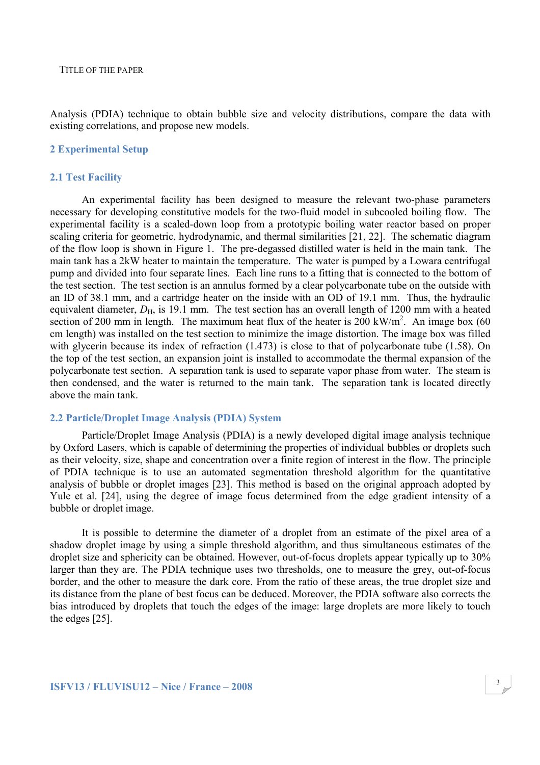Analysis (PDIA) technique to obtain bubble size and velocity distributions, compare the data with existing correlations, and propose new models.

#### 2 Experimental Setup

#### 2.1 Test Facility

An experimental facility has been designed to measure the relevant two-phase parameters necessary for developing constitutive models for the two-fluid model in subcooled boiling flow. The experimental facility is a scaled-down loop from a prototypic boiling water reactor based on proper scaling criteria for geometric, hydrodynamic, and thermal similarities [21, 22]. The schematic diagram of the flow loop is shown in Figure 1. The pre-degassed distilled water is held in the main tank. The main tank has a 2kW heater to maintain the temperature. The water is pumped by a Lowara centrifugal pump and divided into four separate lines. Each line runs to a fitting that is connected to the bottom of the test section. The test section is an annulus formed by a clear polycarbonate tube on the outside with an ID of 38.1 mm, and a cartridge heater on the inside with an OD of 19.1 mm. Thus, the hydraulic equivalent diameter,  $D_{\text{H}}$ , is 19.1 mm. The test section has an overall length of 1200 mm with a heated section of 200 mm in length. The maximum heat flux of the heater is  $200 \text{ kW/m}^2$ . An image box (60 cm length) was installed on the test section to minimize the image distortion. The image box was filled with glycerin because its index of refraction  $(1.473)$  is close to that of polycarbonate tube  $(1.58)$ . On the top of the test section, an expansion joint is installed to accommodate the thermal expansion of the polycarbonate test section. A separation tank is used to separate vapor phase from water. The steam is then condensed, and the water is returned to the main tank. The separation tank is located directly above the main tank.

#### 2.2 Particle/Droplet Image Analysis (PDIA) System

Particle/Droplet Image Analysis (PDIA) is a newly developed digital image analysis technique by Oxford Lasers, which is capable of determining the properties of individual bubbles or droplets such as their velocity, size, shape and concentration over a finite region of interest in the flow. The principle of PDIA technique is to use an automated segmentation threshold algorithm for the quantitative analysis of bubble or droplet images [23]. This method is based on the original approach adopted by Yule et al. [24], using the degree of image focus determined from the edge gradient intensity of a bubble or droplet image.

It is possible to determine the diameter of a droplet from an estimate of the pixel area of a shadow droplet image by using a simple threshold algorithm, and thus simultaneous estimates of the droplet size and sphericity can be obtained. However, out-of-focus droplets appear typically up to 30% larger than they are. The PDIA technique uses two thresholds, one to measure the grey, out-of-focus border, and the other to measure the dark core. From the ratio of these areas, the true droplet size and its distance from the plane of best focus can be deduced. Moreover, the PDIA software also corrects the bias introduced by droplets that touch the edges of the image: large droplets are more likely to touch the edges [25].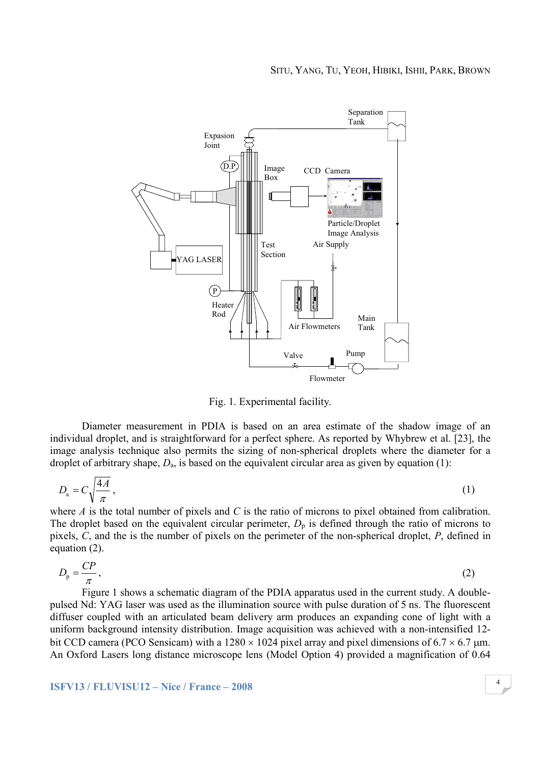

Fig. 1. Experimental facility.

Diameter measurement in PDIA is based on an area estimate of the shadow image of an individual droplet, and is straightforward for a perfect sphere. As reported by Whybrew et al. [23], the image analysis technique also permits the sizing of non-spherical droplets where the diameter for a droplet of arbitrary shape,  $D_a$ , is based on the equivalent circular area as given by equation (1):

$$
D_{\rm a} = C \sqrt{\frac{4A}{\pi}}\,,\tag{1}
$$

where  $A$  is the total number of pixels and  $C$  is the ratio of microns to pixel obtained from calibration. The droplet based on the equivalent circular perimeter,  $D<sub>p</sub>$  is defined through the ratio of microns to pixels, C, and the is the number of pixels on the perimeter of the non-spherical droplet, P, defined in equation (2).

$$
D_{\rm p} = \frac{CP}{\pi},\tag{2}
$$

Figure 1 shows a schematic diagram of the PDIA apparatus used in the current study. A doublepulsed Nd: YAG laser was used as the illumination source with pulse duration of 5 ns. The fluorescent diffuser coupled with an articulated beam delivery arm produces an expanding cone of light with a uniform background intensity distribution. Image acquisition was achieved with a non-intensified 12 bit CCD camera (PCO Sensicam) with a  $1280 \times 1024$  pixel array and pixel dimensions of 6.7  $\times$  6.7 µm. An Oxford Lasers long distance microscope lens (Model Option 4) provided a magnification of 0.64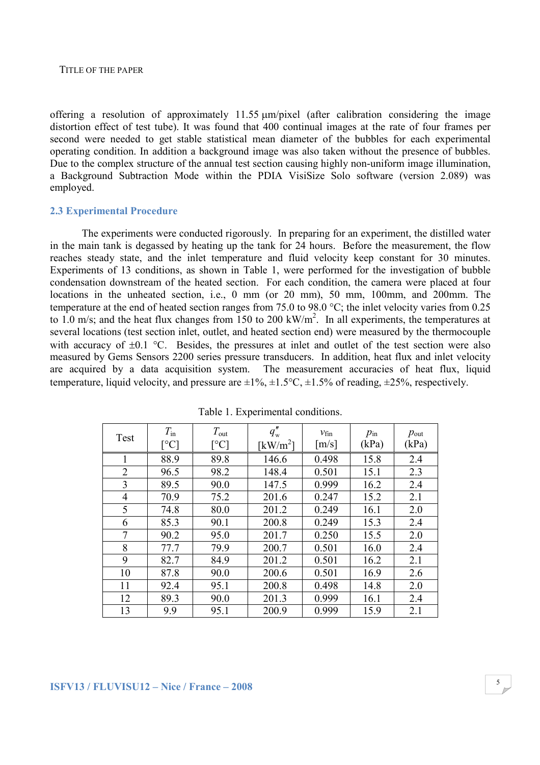#### TITLE OF THE PAPER

offering a resolution of approximately 11.55 µm/pixel (after calibration considering the image distortion effect of test tube). It was found that 400 continual images at the rate of four frames per second were needed to get stable statistical mean diameter of the bubbles for each experimental operating condition. In addition a background image was also taken without the presence of bubbles. Due to the complex structure of the annual test section causing highly non-uniform image illumination, a Background Subtraction Mode within the PDIA VisiSize Solo software (version 2.089) was employed.

# 2.3 Experimental Procedure

The experiments were conducted rigorously. In preparing for an experiment, the distilled water in the main tank is degassed by heating up the tank for 24 hours. Before the measurement, the flow reaches steady state, and the inlet temperature and fluid velocity keep constant for 30 minutes. Experiments of 13 conditions, as shown in Table 1, were performed for the investigation of bubble condensation downstream of the heated section. For each condition, the camera were placed at four locations in the unheated section, i.e., 0 mm (or 20 mm), 50 mm, 100mm, and 200mm. The temperature at the end of heated section ranges from 75.0 to 98.0 °C; the inlet velocity varies from 0.25 to 1.0 m/s; and the heat flux changes from 150 to 200 kW/m<sup>2</sup>. In all experiments, the temperatures at several locations (test section inlet, outlet, and heated section end) were measured by the thermocouple with accuracy of  $\pm 0.1$  °C. Besides, the pressures at inlet and outlet of the test section were also measured by Gems Sensors 2200 series pressure transducers. In addition, heat flux and inlet velocity are acquired by a data acquisition system. The measurement accuracies of heat flux, liquid temperature, liquid velocity, and pressure are  $\pm 1\%$ ,  $\pm 1.5\%$ ,  $\pm 1.5\%$  of reading,  $\pm 25\%$ , respectively.

| Test           | $T_{\rm in}$<br>$[ ^\circ \text{C} ]$ | $T_{\text{out}}$<br>[°C] | $q''_{\rm w}$<br>$\left[\mathrm{kW/m}^2\right]$ | $v_{fin}$<br>$\lceil m/s \rceil$ | $p_{\rm in}$<br>(kPa) | $p_{\text{out}}$<br>(kPa) |
|----------------|---------------------------------------|--------------------------|-------------------------------------------------|----------------------------------|-----------------------|---------------------------|
| 1              | 88.9                                  | 89.8                     | 146.6                                           | 0.498                            | 15.8                  | 2.4                       |
| $\overline{2}$ | 96.5                                  | 98.2                     | 148.4                                           | 0.501                            | 15.1                  | 2.3                       |
| 3              | 89.5                                  | 90.0                     | 147.5                                           | 0.999                            | 16.2                  | 2.4                       |
| $\overline{4}$ | 70.9                                  | 75.2                     | 201.6                                           | 0.247                            | 15.2                  | 2.1                       |
| 5              | 74.8                                  | 80.0                     | 201.2                                           | 0.249                            | 16.1                  | 2.0                       |
| 6              | 85.3                                  | 90.1                     | 200.8                                           | 0.249                            | 15.3                  | 2.4                       |
| 7              | 90.2                                  | 95.0                     | 201.7                                           | 0.250                            | 15.5                  | 2.0                       |
| 8              | 77.7                                  | 79.9                     | 200.7                                           | 0.501                            | 16.0                  | 2.4                       |
| 9              | 82.7                                  | 84.9                     | 201.2                                           | 0.501                            | 16.2                  | 2.1                       |
| 10             | 87.8                                  | 90.0                     | 200.6                                           | 0.501                            | 16.9                  | 2.6                       |
| 11             | 92.4                                  | 95.1                     | 200.8                                           | 0.498                            | 14.8                  | 2.0                       |
| 12             | 89.3                                  | 90.0                     | 201.3                                           | 0.999                            | 16.1                  | 2.4                       |
| 13             | 9.9                                   | 95.1                     | 200.9                                           | 0.999                            | 15.9                  | 2.1                       |

Table 1. Experimental conditions.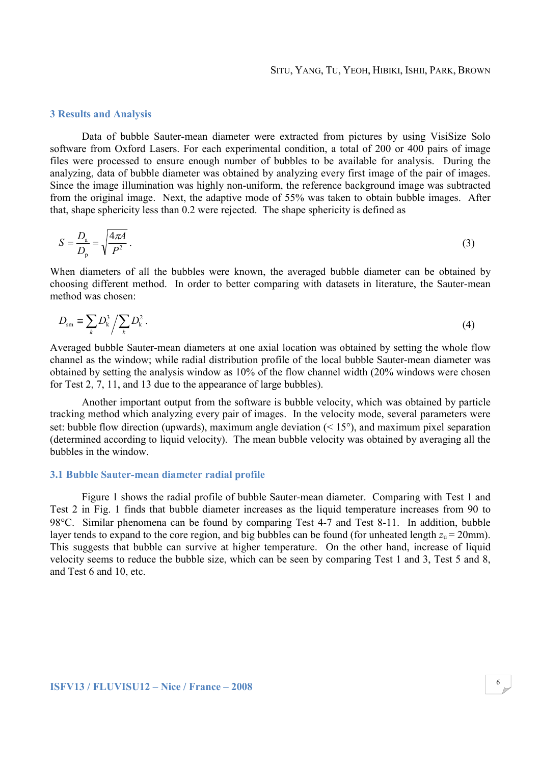### 3 Results and Analysis

Data of bubble Sauter-mean diameter were extracted from pictures by using VisiSize Solo software from Oxford Lasers. For each experimental condition, a total of 200 or 400 pairs of image files were processed to ensure enough number of bubbles to be available for analysis. During the analyzing, data of bubble diameter was obtained by analyzing every first image of the pair of images. Since the image illumination was highly non-uniform, the reference background image was subtracted from the original image. Next, the adaptive mode of 55% was taken to obtain bubble images. After that, shape sphericity less than 0.2 were rejected. The shape sphericity is defined as

$$
S = \frac{D_{\rm a}}{D_{\rm p}} = \sqrt{\frac{4\pi A}{P^2}}\,. \tag{3}
$$

When diameters of all the bubbles were known, the averaged bubble diameter can be obtained by choosing different method. In order to better comparing with datasets in literature, the Sauter-mean method was chosen:

$$
D_{\rm sm} \equiv \sum_{k} D_{k}^{3} / \sum_{k} D_{k}^{2} \,. \tag{4}
$$

Averaged bubble Sauter-mean diameters at one axial location was obtained by setting the whole flow channel as the window; while radial distribution profile of the local bubble Sauter-mean diameter was obtained by setting the analysis window as 10% of the flow channel width (20% windows were chosen for Test 2, 7, 11, and 13 due to the appearance of large bubbles).

Another important output from the software is bubble velocity, which was obtained by particle tracking method which analyzing every pair of images. In the velocity mode, several parameters were set: bubble flow direction (upwards), maximum angle deviation  $(< 15^{\circ}$ ), and maximum pixel separation (determined according to liquid velocity). The mean bubble velocity was obtained by averaging all the bubbles in the window.

#### 3.1 Bubble Sauter-mean diameter radial profile

 Figure 1 shows the radial profile of bubble Sauter-mean diameter. Comparing with Test 1 and Test 2 in Fig. 1 finds that bubble diameter increases as the liquid temperature increases from 90 to 98°C. Similar phenomena can be found by comparing Test 4-7 and Test 8-11. In addition, bubble layer tends to expand to the core region, and big bubbles can be found (for unheated length  $z_0 = 20$ mm). This suggests that bubble can survive at higher temperature. On the other hand, increase of liquid velocity seems to reduce the bubble size, which can be seen by comparing Test 1 and 3, Test 5 and 8, and Test 6 and 10, etc.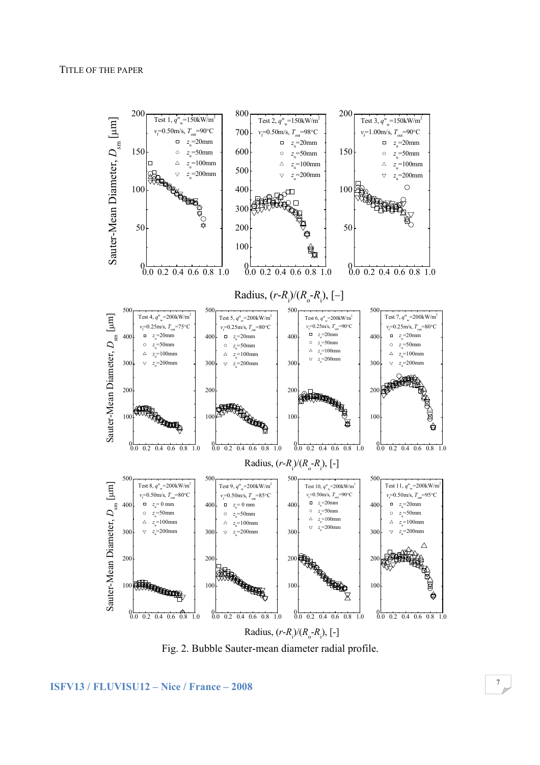

Fig. 2. Bubble Sauter-mean diameter radial profile.

ISFV13 / FLUVISU12 – Nice / France – 2008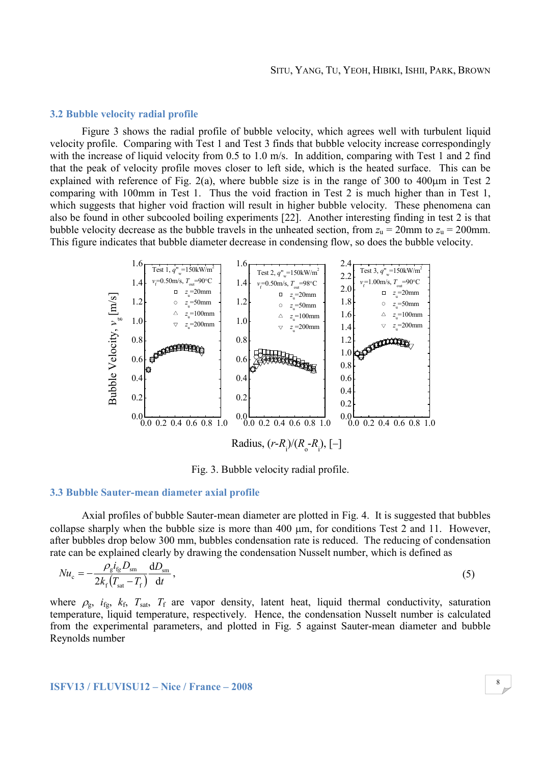#### 3.2 Bubble velocity radial profile

 Figure 3 shows the radial profile of bubble velocity, which agrees well with turbulent liquid velocity profile. Comparing with Test 1 and Test 3 finds that bubble velocity increase correspondingly with the increase of liquid velocity from 0.5 to 1.0 m/s. In addition, comparing with Test 1 and 2 find that the peak of velocity profile moves closer to left side, which is the heated surface. This can be explained with reference of Fig. 2(a), where bubble size is in the range of 300 to 400 $\mu$ m in Test 2 comparing with 100mm in Test 1. Thus the void fraction in Test 2 is much higher than in Test 1, which suggests that higher void fraction will result in higher bubble velocity. These phenomena can also be found in other subcooled boiling experiments [22]. Another interesting finding in test 2 is that bubble velocity decrease as the bubble travels in the unheated section, from  $z_u = 20$ mm to  $z_u = 200$ mm. This figure indicates that bubble diameter decrease in condensing flow, so does the bubble velocity.



Fig. 3. Bubble velocity radial profile.

#### 3.3 Bubble Sauter-mean diameter axial profile

 Axial profiles of bubble Sauter-mean diameter are plotted in Fig. 4. It is suggested that bubbles collapse sharply when the bubble size is more than 400 µm, for conditions Test 2 and 11. However, after bubbles drop below 300 mm, bubbles condensation rate is reduced. The reducing of condensation rate can be explained clearly by drawing the condensation Nusselt number, which is defined as

$$
Nu_{c} = -\frac{\rho_{g}i_{fg}D_{sm}}{2k_{f}(T_{sat} - T_{f})}\frac{dD_{sm}}{dt},
$$
\n(5)

where  $\rho_{\rm g}$ ,  $i_{\rm fg}$ ,  $k_{\rm f}$ ,  $T_{\rm sat}$ ,  $T_{\rm f}$  are vapor density, latent heat, liquid thermal conductivity, saturation temperature, liquid temperature, respectively. Hence, the condensation Nusselt number is calculated from the experimental parameters, and plotted in Fig. 5 against Sauter-mean diameter and bubble Reynolds number

# $I$ SFV13 / FLUVISU12 – Nice / France – 2008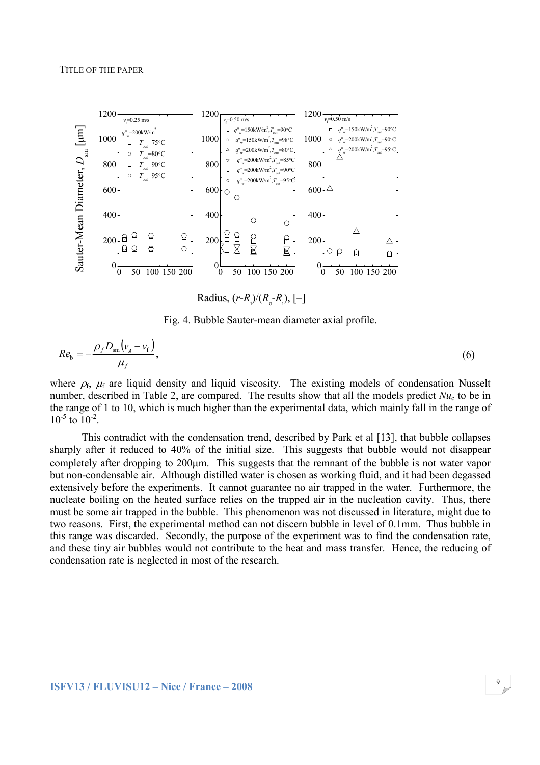

Radius,  $(r-R_i)/(R_o - R_i)$ , [-]

Fig. 4. Bubble Sauter-mean diameter axial profile.

$$
Re_{b} = -\frac{\rho_f D_{\rm sm} (v_{\rm g} - v_{\rm f})}{\mu_f},\tag{6}
$$

where  $\rho_f$ ,  $\mu_f$  are liquid density and liquid viscosity. The existing models of condensation Nusselt number, described in Table 2, are compared. The results show that all the models predict  $Nu_c$  to be in the range of 1 to 10, which is much higher than the experimental data, which mainly fall in the range of  $10^{-5}$  to  $10^{-2}$ .

This contradict with the condensation trend, described by Park et al [13], that bubble collapses sharply after it reduced to 40% of the initial size. This suggests that bubble would not disappear completely after dropping to 200µm. This suggests that the remnant of the bubble is not water vapor but non-condensable air. Although distilled water is chosen as working fluid, and it had been degassed extensively before the experiments. It cannot guarantee no air trapped in the water. Furthermore, the nucleate boiling on the heated surface relies on the trapped air in the nucleation cavity. Thus, there must be some air trapped in the bubble. This phenomenon was not discussed in literature, might due to two reasons. First, the experimental method can not discern bubble in level of 0.1mm. Thus bubble in this range was discarded. Secondly, the purpose of the experiment was to find the condensation rate, and these tiny air bubbles would not contribute to the heat and mass transfer. Hence, the reducing of condensation rate is neglected in most of the research.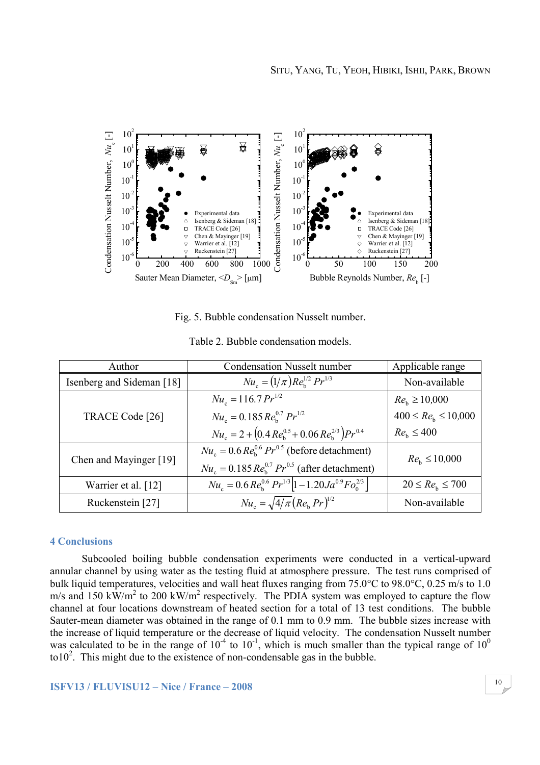

Fig. 5. Bubble condensation Nusselt number.

| Author                    | <b>Condensation Nusselt number</b>                                           | Applicable range            |  |
|---------------------------|------------------------------------------------------------------------------|-----------------------------|--|
| Isenberg and Sideman [18] | $Nu_c = (1/\pi)Re_b^{1/2} Pr^{1/3}$                                          | Non-available               |  |
|                           | $Nu_c = 116.7 Pr^{1/2}$                                                      | $Re_h \ge 10,000$           |  |
| TRACE Code [26]           | $Nu_c = 0.185 Re_h^{0.7} Pr^{1/2}$                                           | $400 \leq Re_h \leq 10,000$ |  |
|                           | $Nu_c = 2 + (0.4 Re_h^{0.5} + 0.06 Re_h^{2/3}) Pr^{0.4}$                     | $Reb \leq 400$              |  |
|                           | $Nu_c = 0.6 Re_h^{0.6} Pr^{0.5}$ (before detachment)                         | $Re_h \le 10,000$           |  |
| Chen and Mayinger [19]    | $Nu_c = 0.185 Re_b^{0.7} Pr^{0.5}$ (after detachment)                        |                             |  |
| Warrier et al. [12]       | $Nu_c = 0.6 Re_b^{0.6} Pr^{1/3} \left  1 - 1.20 Ja^{0.9} Fo_a^{2/3} \right $ | $20 \leq Re_h \leq 700$     |  |
| Ruckenstein [27]          | $Nu_c = \sqrt{4/\pi (Re_h Pr)^{1/2}}$                                        | Non-available               |  |

Table 2. Bubble condensation models.

#### 4 Conclusions

 Subcooled boiling bubble condensation experiments were conducted in a vertical-upward annular channel by using water as the testing fluid at atmosphere pressure. The test runs comprised of bulk liquid temperatures, velocities and wall heat fluxes ranging from 75.0°C to 98.0°C, 0.25 m/s to 1.0 m/s and 150 kW/m<sup>2</sup> to 200 kW/m<sup>2</sup> respectively. The PDIA system was employed to capture the flow channel at four locations downstream of heated section for a total of 13 test conditions. The bubble Sauter-mean diameter was obtained in the range of 0.1 mm to 0.9 mm. The bubble sizes increase with the increase of liquid temperature or the decrease of liquid velocity. The condensation Nusselt number was calculated to be in the range of  $10^{-4}$  to  $10^{-1}$ , which is much smaller than the typical range of  $10^{0}$ to10<sup>2</sup>. This might due to the existence of non-condensable gas in the bubble.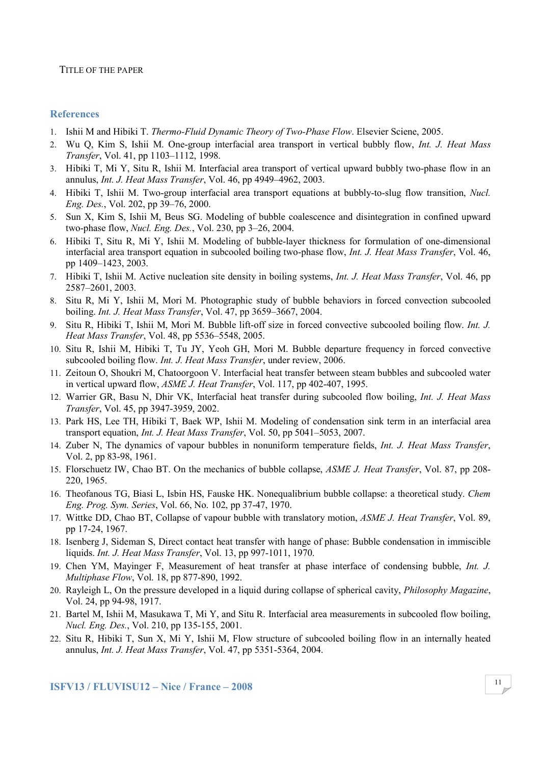#### TITLE OF THE PAPER

### References

- 1. Ishii M and Hibiki T. Thermo-Fluid Dynamic Theory of Two-Phase Flow. Elsevier Sciene, 2005.
- 2. Wu Q, Kim S, Ishii M. One-group interfacial area transport in vertical bubbly flow, Int. J. Heat Mass Transfer, Vol. 41, pp 1103–1112, 1998.
- 3. Hibiki T, Mi Y, Situ R, Ishii M. Interfacial area transport of vertical upward bubbly two-phase flow in an annulus, Int. J. Heat Mass Transfer, Vol. 46, pp 4949–4962, 2003.
- 4. Hibiki T, Ishii M. Two-group interfacial area transport equations at bubbly-to-slug flow transition, Nucl. Eng. Des., Vol. 202, pp 39–76, 2000.
- 5. Sun X, Kim S, Ishii M, Beus SG. Modeling of bubble coalescence and disintegration in confined upward two-phase flow, Nucl. Eng. Des., Vol. 230, pp 3–26, 2004.
- 6. Hibiki T, Situ R, Mi Y, Ishii M. Modeling of bubble-layer thickness for formulation of one-dimensional interfacial area transport equation in subcooled boiling two-phase flow, Int. J. Heat Mass Transfer, Vol. 46, pp 1409–1423, 2003.
- 7. Hibiki T, Ishii M. Active nucleation site density in boiling systems, Int. J. Heat Mass Transfer, Vol. 46, pp 2587–2601, 2003.
- 8. Situ R, Mi Y, Ishii M, Mori M. Photographic study of bubble behaviors in forced convection subcooled boiling. Int. J. Heat Mass Transfer, Vol. 47, pp 3659–3667, 2004.
- 9. Situ R, Hibiki T, Ishii M, Mori M. Bubble lift-off size in forced convective subcooled boiling flow. Int. J. Heat Mass Transfer, Vol. 48, pp 5536–5548, 2005.
- 10. Situ R, Ishii M, Hibiki T, Tu JY, Yeoh GH, Mori M. Bubble departure frequency in forced convective subcooled boiling flow. Int. J. Heat Mass Transfer, under review, 2006.
- 11. Zeitoun O, Shoukri M, Chatoorgoon V. Interfacial heat transfer between steam bubbles and subcooled water in vertical upward flow, ASME J. Heat Transfer, Vol. 117, pp 402-407, 1995.
- 12. Warrier GR, Basu N, Dhir VK, Interfacial heat transfer during subcooled flow boiling, Int. J. Heat Mass Transfer, Vol. 45, pp 3947-3959, 2002.
- 13. Park HS, Lee TH, Hibiki T, Baek WP, Ishii M. Modeling of condensation sink term in an interfacial area transport equation, Int. J. Heat Mass Transfer, Vol. 50, pp 5041–5053, 2007.
- 14. Zuber N. The dynamics of vapour bubbles in nonuniform temperature fields, *Int. J. Heat Mass Transfer*, Vol. 2, pp 83-98, 1961.
- 15. Florschuetz IW, Chao BT. On the mechanics of bubble collapse, ASME J. Heat Transfer, Vol. 87, pp 208-220, 1965.
- 16. Theofanous TG, Biasi L, Isbin HS, Fauske HK. Nonequalibrium bubble collapse: a theoretical study. Chem Eng. Prog. Sym. Series, Vol. 66, No. 102, pp 37-47, 1970.
- 17. Wittke DD, Chao BT, Collapse of vapour bubble with translatory motion, ASME J. Heat Transfer, Vol. 89, pp 17-24, 1967.
- 18. Isenberg J, Sideman S, Direct contact heat transfer with hange of phase: Bubble condensation in immiscible liquids. Int. J. Heat Mass Transfer, Vol. 13, pp 997-1011, 1970.
- 19. Chen YM, Mayinger F, Measurement of heat transfer at phase interface of condensing bubble, Int. J. Multiphase Flow, Vol. 18, pp 877-890, 1992.
- 20. Rayleigh L, On the pressure developed in a liquid during collapse of spherical cavity, Philosophy Magazine, Vol. 24, pp 94-98, 1917.
- 21. Bartel M, Ishii M, Masukawa T, Mi Y, and Situ R. Interfacial area measurements in subcooled flow boiling, Nucl. Eng. Des., Vol. 210, pp 135-155, 2001.
- 22. Situ R, Hibiki T, Sun X, Mi Y, Ishii M, Flow structure of subcooled boiling flow in an internally heated annulus, Int. J. Heat Mass Transfer, Vol. 47, pp 5351-5364, 2004.